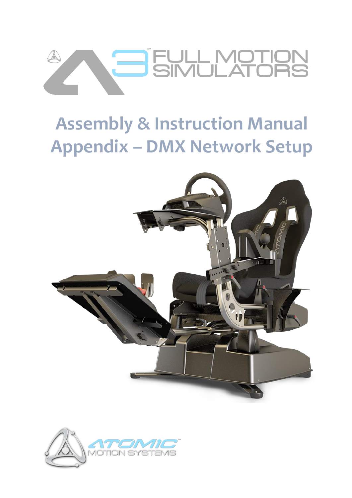

# **Assembly & Instruction Manual Appendix – DMX Network Setup**



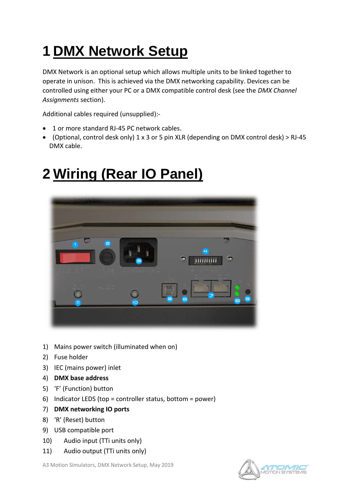## **1 DMX Network Setup**

DMX Network is an optional setup which allows multiple units to be linked together to operate in unison. This is achieved via the DMX networking capability. Devices can be controlled using either your PC or a DMX compatible control desk (see the *DMX Channel Assignments* section).

Additional cables required (unsupplied):-

- 1 or more standard RJ-45 PC network cables.
- (Optional, control desk only) 1 x 3 or 5 pin XLR (depending on DMX control desk) > RJ-45 DMX cable.

## **2 Wiring (Rear IO Panel)**



- 1) Mains power switch (illuminated when on)
- 2) Fuse holder
- 3) IEC (mains power) inlet
- 4) **DMX base address**
- 5) 'F' (Function) button
- 6) Indicator LEDS (top = controller status, bottom = power)
- 7) **DMX networking IO ports**
- 8) 'R' (Reset) button
- 9) USB compatible port
- 10) Audio input (TTi units only)
- 11) Audio output (TTi units only)

A3 Motion Simulators, DMX Network Setup, May 2019

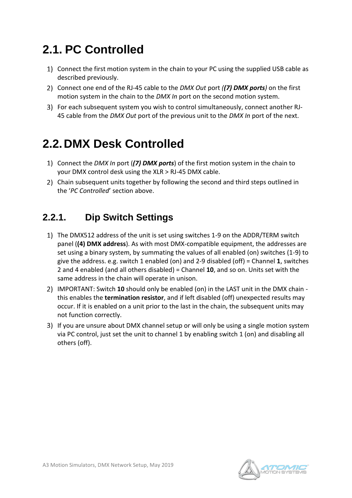### **2.1. PC Controlled**

- 1) Connect the first motion system in the chain to your PC using the supplied USB cable as described previously.
- Connect one end of the RJ-45 cable to the *DMX Out* port *((7) DMX ports)* on the first motion system in the chain to the *DMX In* port on the second motion system.
- For each subsequent system you wish to control simultaneously, connect another RJ-45 cable from the *DMX Out* port of the previous unit to the *DMX In* port of the next.

### **2.2.DMX Desk Controlled**

- Connect the *DMX In* port (*(7) DMX ports*) of the first motion system in the chain to your DMX control desk using the XLR > RJ-45 DMX cable.
- Chain subsequent units together by following the second and third steps outlined in the '*PC Controlled*' section above.

#### **2.2.1. Dip Switch Settings**

- The DMX512 address of the unit is set using switches 1-9 on the ADDR/TERM switch panel (**(4) DMX address**). As with most DMX-compatible equipment, the addresses are set using a binary system, by summating the values of all enabled (on) switches (1-9) to give the address. e.g. switch 1 enabled (on) and 2-9 disabled (off) = Channel **1**, switches 2 and 4 enabled (and all others disabled) = Channel **10**, and so on. Units set with the same address in the chain will operate in unison.
- IMPORTANT: Switch **10** should only be enabled (on) in the LAST unit in the DMX chain this enables the **termination resistor**, and if left disabled (off) unexpected results may occur. If it is enabled on a unit prior to the last in the chain, the subsequent units may not function correctly.
- If you are unsure about DMX channel setup or will only be using a single motion system via PC control, just set the unit to channel 1 by enabling switch 1 (on) and disabling all others (off).